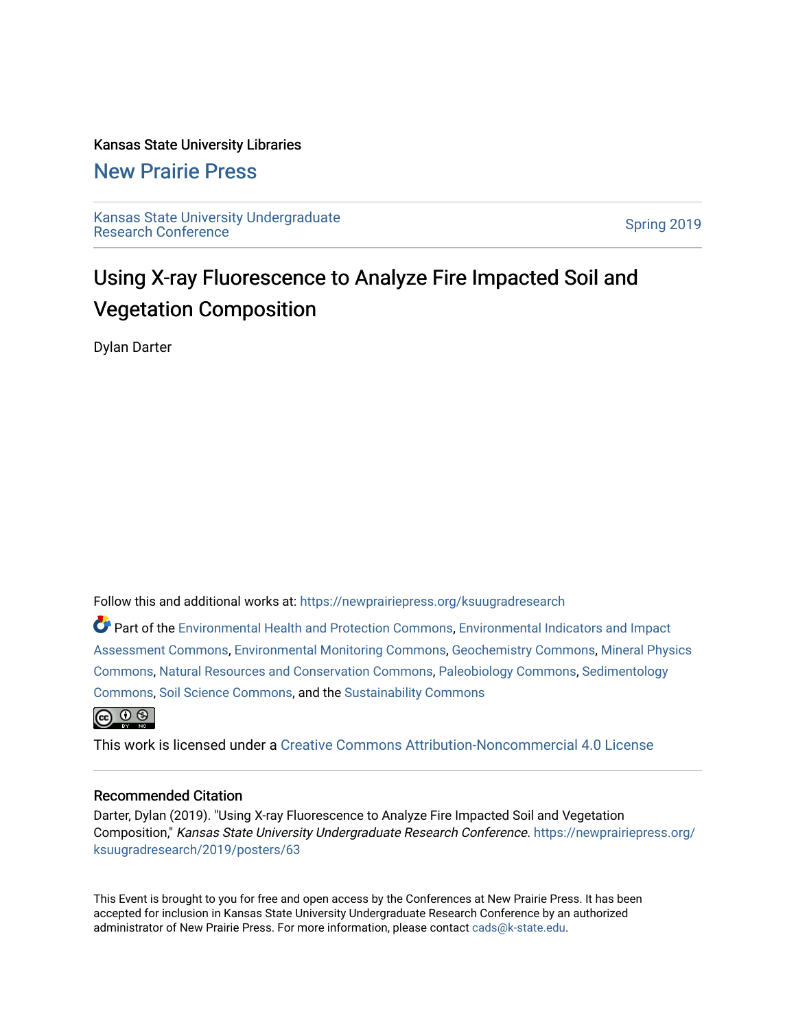### Kansas State University Libraries

### [New Prairie Press](https://newprairiepress.org/)

[Kansas State University Undergraduate](https://newprairiepress.org/ksuugradresearch)  Ransas State University Undergraduate<br>[Research Conference](https://newprairiepress.org/ksuugradresearch)

### Using X-ray Fluorescence to Analyze Fire Impacted Soil and Vegetation Composition

Dylan Darter

Follow this and additional works at: [https://newprairiepress.org/ksuugradresearch](https://newprairiepress.org/ksuugradresearch?utm_source=newprairiepress.org%2Fksuugradresearch%2F2019%2Fposters%2F63&utm_medium=PDF&utm_campaign=PDFCoverPages) 

Part of the [Environmental Health and Protection Commons,](http://network.bepress.com/hgg/discipline/172?utm_source=newprairiepress.org%2Fksuugradresearch%2F2019%2Fposters%2F63&utm_medium=PDF&utm_campaign=PDFCoverPages) [Environmental Indicators and Impact](http://network.bepress.com/hgg/discipline/1015?utm_source=newprairiepress.org%2Fksuugradresearch%2F2019%2Fposters%2F63&utm_medium=PDF&utm_campaign=PDFCoverPages) [Assessment Commons,](http://network.bepress.com/hgg/discipline/1015?utm_source=newprairiepress.org%2Fksuugradresearch%2F2019%2Fposters%2F63&utm_medium=PDF&utm_campaign=PDFCoverPages) [Environmental Monitoring Commons](http://network.bepress.com/hgg/discipline/931?utm_source=newprairiepress.org%2Fksuugradresearch%2F2019%2Fposters%2F63&utm_medium=PDF&utm_campaign=PDFCoverPages), [Geochemistry Commons,](http://network.bepress.com/hgg/discipline/157?utm_source=newprairiepress.org%2Fksuugradresearch%2F2019%2Fposters%2F63&utm_medium=PDF&utm_campaign=PDFCoverPages) [Mineral Physics](http://network.bepress.com/hgg/discipline/160?utm_source=newprairiepress.org%2Fksuugradresearch%2F2019%2Fposters%2F63&utm_medium=PDF&utm_campaign=PDFCoverPages) [Commons](http://network.bepress.com/hgg/discipline/160?utm_source=newprairiepress.org%2Fksuugradresearch%2F2019%2Fposters%2F63&utm_medium=PDF&utm_campaign=PDFCoverPages), [Natural Resources and Conservation Commons](http://network.bepress.com/hgg/discipline/168?utm_source=newprairiepress.org%2Fksuugradresearch%2F2019%2Fposters%2F63&utm_medium=PDF&utm_campaign=PDFCoverPages), [Paleobiology Commons,](http://network.bepress.com/hgg/discipline/161?utm_source=newprairiepress.org%2Fksuugradresearch%2F2019%2Fposters%2F63&utm_medium=PDF&utm_campaign=PDFCoverPages) [Sedimentology](http://network.bepress.com/hgg/discipline/1079?utm_source=newprairiepress.org%2Fksuugradresearch%2F2019%2Fposters%2F63&utm_medium=PDF&utm_campaign=PDFCoverPages) [Commons](http://network.bepress.com/hgg/discipline/1079?utm_source=newprairiepress.org%2Fksuugradresearch%2F2019%2Fposters%2F63&utm_medium=PDF&utm_campaign=PDFCoverPages), [Soil Science Commons](http://network.bepress.com/hgg/discipline/163?utm_source=newprairiepress.org%2Fksuugradresearch%2F2019%2Fposters%2F63&utm_medium=PDF&utm_campaign=PDFCoverPages), and the [Sustainability Commons](http://network.bepress.com/hgg/discipline/1031?utm_source=newprairiepress.org%2Fksuugradresearch%2F2019%2Fposters%2F63&utm_medium=PDF&utm_campaign=PDFCoverPages)



This work is licensed under a [Creative Commons Attribution-Noncommercial 4.0 License](https://creativecommons.org/licenses/by-nc/4.0/)

### Recommended Citation

Darter, Dylan (2019). "Using X-ray Fluorescence to Analyze Fire Impacted Soil and Vegetation Composition," Kansas State University Undergraduate Research Conference. [https://newprairiepress.org/](https://newprairiepress.org/ksuugradresearch/2019/posters/63) [ksuugradresearch/2019/posters/63](https://newprairiepress.org/ksuugradresearch/2019/posters/63)

This Event is brought to you for free and open access by the Conferences at New Prairie Press. It has been accepted for inclusion in Kansas State University Undergraduate Research Conference by an authorized administrator of New Prairie Press. For more information, please contact [cads@k-state.edu](mailto:cads@k-state.edu).